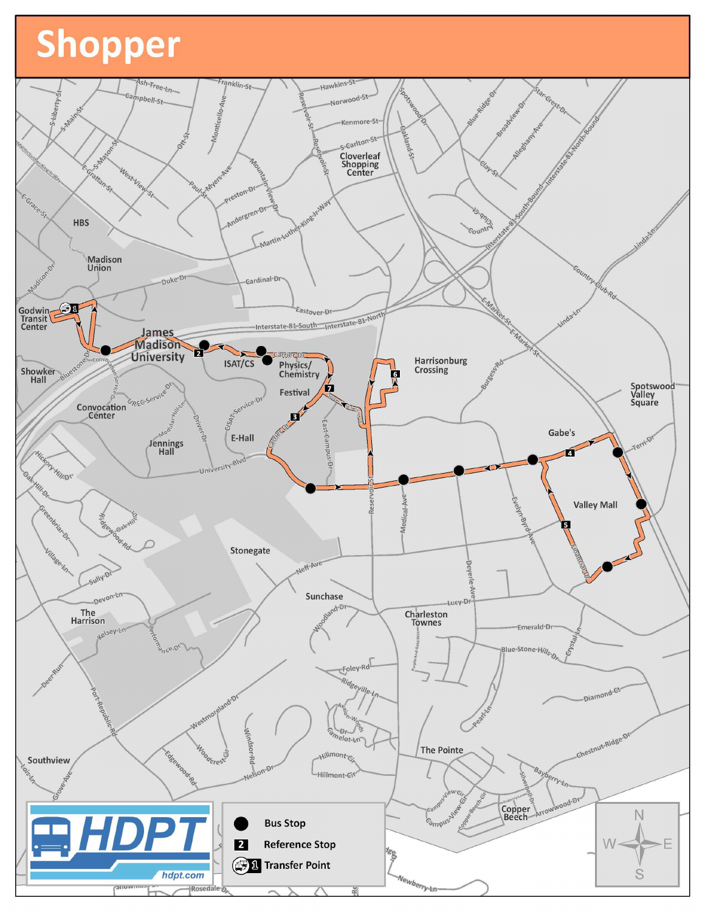## Shopper